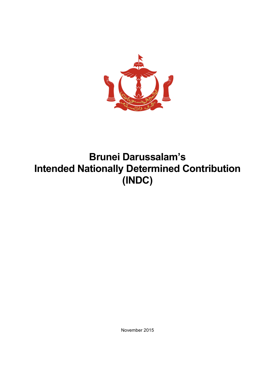

# **Brunei Darussalam's Intended Nationally Determined Contribution (INDC)**

November 2015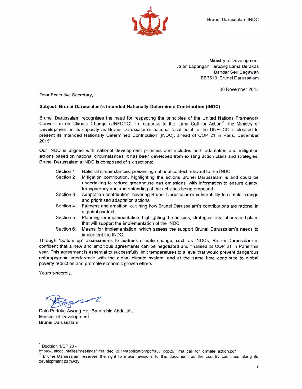

Ministry of Development Jalan Lapangan Terbang Lama Berakas Bandar Seri Begawan BB3510, Brunei Darussalam

30 November 2015

Dear Executive Secretary.

#### Subject: Brunei Darussalam's Intended Nationally Determined Contribution (INDC)

Brunei Darussalam recognises the need for respecting the principles of the United Nations Framework Convention on Climate Change (UNFCCC). In response to the 'Lima Call for Action'<sup>1</sup>, the Ministry of Development, in its capacity as Brunei Darussalam's national focal point to the UNFCCC is pleased to present its Intended Nationally Determined Contribution (INDC), ahead of COP 21 in Paris, December  $2015^2$ .

Our INDC is aligned with national development priorities and includes both adaptation and mitigation actions based on national circumstances; it has been developed from existing action plans and strategies. Brunei Darussalam's INDC is composed of six sections:

- Section 1: National circumstances, presenting national context relevant to the INDC
- Section 2: Mitigation contribution, highlighting the actions Brunei Darussalam is and could be undertaking to reduce greenhouse gas emissions, with information to ensure clarity. transparency and understanding of the activities being proposed
- Section 3: Adaptation contribution, covering Brunei Darussalam's vulnerability to climate change and prioritised adaptation actions
- Section 4: Fairness and ambition, outlining how Brunei Darussalam's contributions are rational in a global context
- Section 5: Planning for implementation, highlighting the policies, strategies, institutions and plans that will support the implementation of the INDC
- Section 6: Means for implementation, which assess the support Brunei Darussalam's needs to implement the INDC.

Through "bottom up" assessments to address climate change, such as INDCs, Brunei Darussalam is confident that a new and ambitious agreements can be negotiated and finalised at COP 21 in Paris this year. This agreement is essential to successfully limit temperatures to a level that would prevent dangerous anthropogenic interference with the global climate system, and at the same time contribute to global poverty reduction and promote economic growth efforts.

Yours sincerely,

Dato Paduka Awang Haji Bahrin bin Abdullah, Minister of Development Brunei Darussalam

Decision 1/CP.20 -

https://unfccc.int/files/meetings/lima\_dec\_2014/application/pdf/auv\_cop20\_lima\_call\_for\_climate\_action.pdf

Brunei Darussalam reserves the right to make revisions to this document, as the country continues along its development pathway.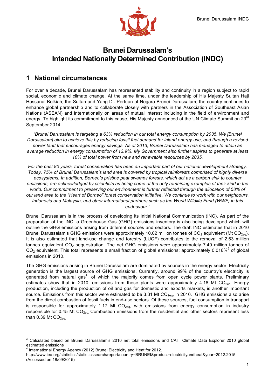

# **Brunei Darussalam's Intended Nationally Determined Contribution (INDC)**

### **1 National circumstances**

For over a decade, Brunei Darussalam has represented stability and continuity in a region subject to rapid social, economic and climate change. At the same time, under the leadership of His Majesty Sultan Haji Hassanal Bolkiah, the Sultan and Yang Di- Pertuan of Negara Brunei Darussalam, the country continues to enhance global partnership and to collaborate closely with partners in the Association of Southeast Asian Nations (ASEAN) and internationally on areas of mutual interest including in the field of environment and energy. To highlight its commitment to this cause, His Majesty announced at the UN Climate Summit on 23<sup>rd</sup> September 2014:

*"Brunei Darussalam is targeting a 63% reduction in our total energy consumption by 2035. We [Brunei Darussalam] aim to achieve this by reducing fossil fuel demand for inland energy use, and through a revised power tariff that encourages energy savings. As of 2013, Brunei Darussalam has managed to attain an average reduction in energy consumption of 13.9%. My Government also further aspires to generate at least 10% of total power from new and renewable resources by 2035.*

endeavour." *For the past 80 years, forest conservation has been an important part of our national development strategy. Today, 75% of Brunei Darussalam's land area is covered by tropical rainforests comprised of highly diverse ecosystems. In addition, Borneo's pristine peat swamps forests, which act as a carbon sink to counter emissions, are acknowledged by scientists as being some of the only remaining examples of their kind in the world. Our commitment to preserving our environment is further reflected through the allocation of 58% of our land area to the "Heart of Borneo" forest conservation initiative. We continue to work with our neighbours, Indonesia and Malaysia, and other international partners such as the World Wildlife Fund (WWF) in this* 

Brunei Darussalam is in the process of developing its Initial National Communication (INC). As part of the preparation of the INC, a Greenhouse Gas (GHG) emissions inventory is also being developed which will outline the GHG emissions arising from different sources and sectors. The draft INC estimates that in 2010 Brunei Darussalam's GHG emissions were approximately 10.02 million tonnes of CO<sub>2</sub> equivalent (Mt CO<sub>2e0</sub>). It is also estimated that land-use change and forestry (LUCF) contributes to the removal of 2.63 million tonnes equivalent  $CO<sub>2</sub>$  sequestration. The net GHG emissions were approximately 7.40 million tonnes of  $CO<sub>2</sub>$  equivalent. This total represents a small fraction of global emissions; approximately 0.016%<sup>3</sup> of global emissions in 2010.

The GHG emissions arising in Brunei Darussalam are dominated by sources in the energy sector. Electricity generation is the largest source of GHG emissions. Currently, around 99% of the country's electricity is generated from natural gas<sup>4</sup>, of which the majority comes from open cycle power plants. Preliminary estimates show that in 2010, emissions from these plants were approximately 4.18 Mt  $CO<sub>2eq</sub>$ . Energy production, including the production of oil and gas for domestic and exports markets, is another important source. Emissions from this sector were estimated to be 3.31 Mt  $CO<sub>2eq</sub>$ , in 2010. GHG emissions also arise from the direct combustion of fossil fuels in end-use sectors. Of these sources, fuel consumption in transport is responsible for approximately 1.17 Mt  $CO<sub>2e0</sub>$ , with emissions from energy consumption in industry responsible for 0.45 Mt CO<sub>2eq.</sub> Combustion emissions from the residential and other sectors represent less than 0.39 Mt  $CO<sub>2ea</sub>$ .

 <sup>3</sup> Calculated based on Brunei Darussalam's 2010 net total emissions and CAIT Climate Data Explorer 2010 global estimated emissions

International Energy Agency (2012) Brunei Electricity and Heat for 2012.

http://www.iea.org/statistics/statisticssearch/report/country=BRUNEI&product=electricityandheat&year=2012.2015 (Accessed on 18/09/2015)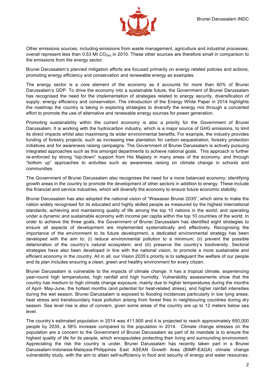

Other emissions sources, including emissions from waste management, agriculture and industrial processes, overall represent less than 0.53 Mt CO<sub>2eq</sub> in 2010. These other sources are therefore small in comparison to the emissions from the energy sector.

Brunei Darussalam's planned mitigation efforts are focused primarily on energy related policies and actions, promoting energy efficiency and conservation and renewable energy as examples.

The energy sector is a core element of the economy as it accounts for more than 60% of Brunei Darussalam's GDP. To drive the economy into a sustainable future, the Government of Brunei Darussalam has recognised the need for the implementation of strategies related to energy security, diversification of supply, energy efficiency and conservation. The introduction of the Energy White Paper in 2014 highlights the roadmap the country is taking in exploring strategies to diversify the energy mix through a concerted effort to promote the use of alternative and renewable energy sources for power generation.

Promoting sustainability within the current economy is also a priority for the Government of Brunei Darussalam. It is working with the hydrocarbon industry, which is a major source of GHG emissions, to limit its direct impacts whilst also maximising its wider environmental benefits. For example, the industry provides funding of forestry projects, such as increasing tree plantation for carbon sequestration, forestry protection initiatives and for awareness raising campaigns. The Government of Brunei Darussalam is actively pursuing integrated approaches such as this amongst departments to achieve national goals. This approach is further re-enforced by strong "top-down" support from His Majesty in many areas of the economy, and through "bottom up" approaches to activities such as awareness raising on climate change in schools and communities.

The Government of Brunei Darussalam also recognises the need for a more balanced economy; identifying growth areas in the country to promote the development of other sectors in addition to energy. These include the financial and service industries, which will diversify the economy to ensure future economic stability.

Brunei Darussalam has also adopted the national vision of "Wawasan Brunei 2035", which aims to make the nation widely recognised for its educated and highly skilled people as measured by the highest international standards; achieving and maintaining quality of life among the top 10 nations in the world; and operating under a dynamic and sustainable economy with income per capita within the top 10 countries of the world. In order to achieve the three goals, the Government of Brunei Darussalam has identified eight strategies to ensure all aspects of development are implemented systematically and effectively. Recognising the importance of the environment to its future development, a dedicated environmental strategy has been developed with the aim to: (i) reduce environmental pollution to a minimum; (ii) prevent the possible deterioration of the country's natural ecosystem; and (iii) preserve the country's biodiversity. Sectoral strategies have also been developed in line with the national vision, to promote a more sustainable and efficient economy in the country. All in all, our Vision 2035's priority is to safeguard the welfare of our people and its plan includes ensuring a clean, green and healthy environment for every citizen.

Brunei Darussalam is vulnerable to the impacts of climate change. It has a tropical climate, experiencing year-round high temperatures, high rainfall and high humidity. Vulnerability assessments show that the country has medium to high climate change exposure, mainly due to higher temperatures during the months of April- May-June, the hottest months (and potential for heat-related stress), and higher rainfall intensities during the wet season. Brunei Darussalam is exposed to flooding incidences particularly in low lying areas; heat stress and transboundary haze pollution arising from forest fires in neighbouring countries during dry season. Sea level rise is also of concern, given some areas of the country are up to 12 meters below sea level.

The country's estimated population in 2014 was 411,900 and it is projected to reach approximately 650,000 people by 2035, a 58% increase compared to the population in 2014. Climate change stresses on the population are a concern to the Government of Brunei Darussalam as part of its mandate is to ensure the highest quality of life for its people, which encapsulates protecting their living and surrounding environment. Appreciating the risk the country is under, Brunei Darussalam has recently taken part in a Brunei Darussalam-Indonesia-Malaysia-Philippines East ASEAN Growth Area (BIMP-EAGA) climate change vulnerability study, with the aim to attain self-sufficiency in food and security of energy and water resources.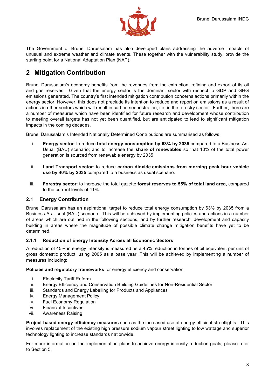

The Government of Brunei Darussalam has also developed plans addressing the adverse impacts of unusual and extreme weather and climate events. These together with the vulnerability study, provide the starting point for a National Adaptation Plan (NAP).

# **2 Mitigation Contribution**

Brunei Darussalam's economy benefits from the revenues from the extraction, refining and export of its oil and gas reserves. Given that the energy sector is the dominant sector with respect to GDP and GHG emissions generated. The country's first intended mitigation contribution concerns actions primarily within the energy sector. However, this does not preclude its intention to reduce and report on emissions as a result of actions in other sectors which will result in carbon sequestration, i.e. in the forestry sector. Further, there are a number of measures which have been identified for future research and development whose contribution to meeting overall targets has not yet been quantified, but are anticipated to lead to significant mitigation impacts in the coming decades.

Brunei Darussalam's Intended Nationally Determined Contributions are summarised as follows:

- i. **Energy sector**: to reduce **total energy consumption by 63% by 2035** compared to a Business-As-Usual (BAU) scenario; and to increase the **share of renewables** so that 10% of the total power generation is sourced from renewable energy by 2035
- ii. **Land Transport sector**: to reduce **carbon dioxide emissions from morning peak hour vehicle use by 40% by 2035** compared to a business as usual scenario.
- iii. **Forestry sector**: to increase the total gazette **forest reserves to 55% of total land area,** compared to the current levels of 41%.

#### **2.1 Energy Contribution**

Brunei Darussalam has an aspirational target to reduce total energy consumption by 63% by 2035 from a Business-As-Usual (BAU) scenario. This will be achieved by implementing policies and actions in a number of areas which are outlined in the following sections, and by further research, development and capacity building in areas where the magnitude of possible climate change mitigation benefits have yet to be determined.

#### **2.1.1 Reduction of Energy Intensity Across all Economic Sectors**

A reduction of 45% in energy intensity is measured as a 45% reduction in tonnes of oil equivalent per unit of gross domestic product, using 2005 as a base year. This will be achieved by implementing a number of measures including:

**Policies and regulatory frameworks** for energy efficiency and conservation:

- i. Electricity Tariff Reform
- ii. Energy Efficiency and Conservation Building Guidelines for Non-Residential Sector
- iii. Standards and Energy Labelling for Products and Appliances
- iv. Energy Management Policy
- v. Fuel Economy Regulation
- vi. Financial Incentives
- vii. Awareness Raising

**Project based energy efficiency measures** such as the increased use of energy efficient streetlights. This involves replacement of the existing high pressure sodium vapour street lighting to low wattage and superior technology lighting to increase standards nationwide.

For more information on the implementation plans to achieve energy intensity reduction goals, please refer to Section 5.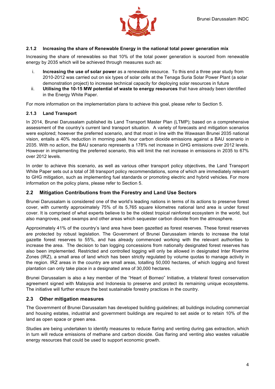

#### **2.1.2 Increasing the share of Renewable Energy in the national total power generation mix**

Increasing the share of renewables so that 10% of the total power generation is sourced from renewable energy by 2035 which will be achieved through measures such as:

- i. **Increasing the use of solar power** as a renewable resource. To this end a three year study from 2010-2012 was carried out on six types of solar cells at the Tenaga Suria Solar Power Plant (a solar demonstration project) to increase technical capacity for deploying solar resources in future
- ii. **Utilising the 10-15 MW potential of waste to energy resources** that have already been identified in the Energy White Paper.

For more information on the implementation plans to achieve this goal, please refer to Section 5.

#### **2.1.3 Land Transport**

In 2014, Brunei Darussalam published its Land Transport Master Plan (LTMP); based on a comprehensive assessment of the country's current land transport situation. A variety of forecasts and mitigation scenarios were explored; however the preferred scenario, and that most in line with the Wawasan Brunei 2035 national vision, entails a 40% reduction in morning peak hour carbon dioxide emissions against a BAU scenario in 2035. With no action, the BAU scenario represents a 178% net increase in GHG emissions over 2012 levels. However in implementing the preferred scenario, this will limit the net increase in emissions in 2035 to 67% over 2012 levels.

In order to achieve this scenario, as well as various other transport policy objectives, the Land Transport White Paper sets out a total of 38 transport policy recommendations, some of which are immediately relevant to GHG mitigation, such as implementing fuel standards or promoting electric and hybrid vehicles. For more information on the policy plans, please refer to Section 5.

#### **2.2 Mitigation Contributions from the Forestry and Land Use Sectors**

Brunei Darussalam is considered one of the world's leading nations in terms of its actions to preserve forest cover, with currently approximately 75% of its 5,765 square kilometres national land area is under forest cover. It is comprised of what experts believe to be the oldest tropical rainforest ecosystem in the world, but also mangroves, peat swamps and other areas which sequester carbon dioxide from the atmosphere.

Approximately 41% of the country's land area have been gazetted as forest reserves. These forest reserves are protected by robust legislation. The Government of Brunei Darussalam intends to increase the total gazette forest reserves to 55%, and has already commenced working with the relevant authorities to increase the area. The decision to ban logging concessions from nationally designated forest reserves has also been implemented. Restricted and controlled logging will only be allowed in designated Inter Riverine Zones (IRZ), a small area of land which has been strictly regulated by volume quotas to manage activity in the region. IRZ areas in the country are small areas, totalling 50,000 hectares, of which logging and forest plantation can only take place in a designated area of 30,000 hectares.

Brunei Darussalam is also a key member of the "Heart of Borneo" Initiative, a trilateral forest conservation agreement signed with Malaysia and Indonesia to preserve and protect its remaining unique ecosystems. The initiative will further ensure the best sustainable forestry practices in the country.

#### **2.3 Other mitigation measures**

The Government of Brunei Darussalam has developed building guidelines; all buildings including commercial and housing estates, industrial and government buildings are required to set aside or to retain 10% of the land as open space or green area.

Studies are being undertaken to identify measures to reduce flaring and venting during gas extraction, which in turn will reduce emissions of methane and carbon dioxide. Gas flaring and venting also wastes valuable energy resources that could be used to support economic growth.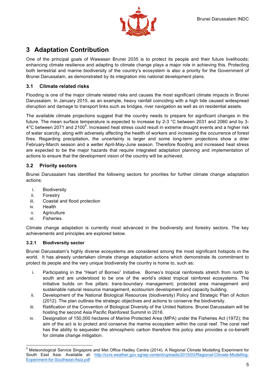

# **3 Adaptation Contribution**

One of the principal goals of Wawasan Brunei 2035 is to protect its people and their future livelihoods; enhancing climate resilience and adapting to climate change plays a major role in achieving this. Protecting both terrestrial and marine biodiversity of the country's ecosystem is also a priority for the Government of Brunei Darussalam, as demonstrated by its integration into national development plans.

#### **3.1 Climate related risks**

Flooding is one of the major climate related risks and causes the most significant climate impacts in Brunei Darussalam. In January 2015, as an example, heavy rainfall coinciding with a high tide caused widespread disruption and damage to transport links such as bridges, river navigation as well as on residential assets.

The available climate projections suggest that the country needs to prepare for significant changes in the future. The mean surface temperature is expected to increase by 2-3 °C between 2031 and 2060 and by 3- 4°C between 2071 and 2100<sup>5</sup>. Increased heat stress could result in extreme drought events and a higher risk of water scarcity, along with adversely affecting the health of workers and increasing the occurrence of forest fires. Regarding precipitation, the uncertainty is larger and some long-term projections show a drier February-March season and a wetter April-May-June season. Therefore flooding and increased heat stress are expected to be the major hazards that require integrated adaptation planning and implementation of actions to ensure that the development vision of the country will be achieved.

#### **3.2 Priority sectors**

Brunei Darussalam has identified the following sectors for priorities for further climate change adaptation actions:

- i. Biodiversity
- ii. Forestry
- iii. Coastal and flood protection
- iv. Health
- v. Agriculture
- vi. Fisheries.

Climate change adaptation is currently most advanced in the biodiversity and forestry sectors. The key achievements and principles are explored below.

#### **3.2.1 Biodiversity sector**

Brunei Darussalam's highly diverse ecosystems are considered among the most significant hotspots in the world. It has already undertaken climate change adaptation actions which demonstrate its commitment to protect its people and the very unique biodiversity the country is home to, such as:

- i. Participating in the "Heart of Borneo" Initiative. Borneo's tropical rainforests stretch from north to south and are understood to be one of the world's oldest tropical rainforest ecosystems. The initiative builds on five pillars: trans-boundary management; protected area management and sustainable natural resource management, ecotourism development and capacity building.
- ii. Development of the National Biological Resources (biodiversity) Policy and Strategic Plan of Action (2012). The plan outlines the strategic objectives and actions to conserve the biodiversity.
- iii. Ratification of the Convention of Biological Diversity of the United Nations. Brunei Darussalam will be hosting the second Asia Pacific Rainforest Summit in 2016.
- iv. Designation of 150,000 hectares of Marine Protected Area (MPA) under the Fisheries Act (1972); the aim of the act is to protect and conserve the marine ecosystem within the coral reef. The coral reef has the ability to sequester the atmospheric carbon therefore this policy also provides a co-benefit for climate change mitigation.

 <sup>5</sup> Meteorological Service Singapore and Met Office Hadley Centre (2014). A Regional Climate Modelling Experiment for South East Asia. Available at: http://ccrs.weather.gov.sg/wp-content/uploads/2015/03/Regional-Climate-Modelling-Experiment-for-Southeast-Asia.pdf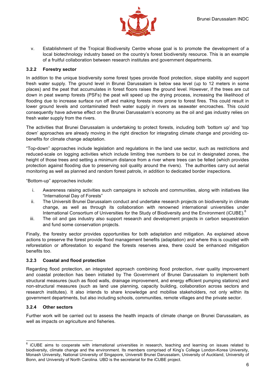

v. Establishment of the Tropical Biodiversity Centre whose goal is to promote the development of a local biotechnology industry based on the country's forest biodiversity resource. This is an example of a fruitful collaboration between research institutes and government departments.

#### **3.2.2 Forestry sector**

In addition to the unique biodiversity some forest types provide flood protection, slope stability and support fresh water supply. The ground level in Brunei Darussalam is below sea level (up to 12 meters in some places) and the peat that accumulates in forest floors raises the ground level. However, if the trees are cut down in peat swamp forests (PSFs) the peat will speed up the drying process, increasing the likelihood of flooding due to increase surface run off and making forests more prone to forest fires. This could result in lower ground levels and contaminated fresh water supply in rivers as seawater encroaches. This could consequently have adverse effect on the Brunei Darussalam's economy as the oil and gas industry relies on fresh water supply from the rivers.

The activities that Brunei Darussalam is undertaking to protect forests, including both 'bottom up' and 'top down' approaches are already moving in the right direction for integrating climate change and providing cobenefits for climate change adaptation.

"Top-down" approaches include legislation and regulations in the land use sector, such as restrictions and reduced-scale on logging activities which include limiting tree numbers to be cut in designated zones, the height of those trees and setting a minimum distance from a river where trees can be felled (which provides protection against flooding due to preserving soil quality around the rivers). The authorities carry out aerial monitoring as well as planned and random forest patrols, in addition to dedicated border inspections.

"Bottom-up" approaches include:

- i. Awareness raising activities such campaigns in schools and communities, along with initiatives like "International Day of Forests"
- ii. The Universiti Brunei Darussalam conduct and undertake research projects on biodiversity in climate change, as well as through its collaboration with renowned international universities under International Consortium of Universities for the Study of Biodiversity and the Environment (iCUBE).<sup>6</sup>
- iii. The oil and gas industry also support research and development projects in carbon sequestration and fund some conservation projects.

Finally, the forestry sector provides opportunities for both adaptation and mitigation. As explained above actions to preserve the forest provide flood management benefits (adaptation) and where this is coupled with reforestation or afforestation to expand the forests reserves area, there could be enhanced mitigation benefits too.

#### **3.2.3 Coastal and flood protection**

Regarding flood protection, an integrated approach combining flood protection, river quality improvement and coastal protection has been initiated by The Government of Brunei Darussalam to implement both structural measures (such as flood walls, drainage improvement, and energy efficient pumping stations) and non-structural measures (such as land use planning, capacity building, collaboration across sectors and research institutes). It also intends to share knowledge and mobilise stakeholders, not only within its government departments, but also including schools, communities, remote villages and the private sector.

#### **3.2.4 Other sectors**

Further work will be carried out to assess the health impacts of climate change on Brunei Darussalam, as well as impacts on agriculture and fisheries.

 $6$  iCUBE aims to cooperate with international universities in research, teaching and learning on issues related to biodiversity, climate change and the environment. Its members comprised of King's College London-Korea University, Monash University, National University of Singapore, Universiti Brunei Darussalam, University of Auckland, University of Bonn, and University of North Carolina. UBD is the secretariat for the iCUBE project.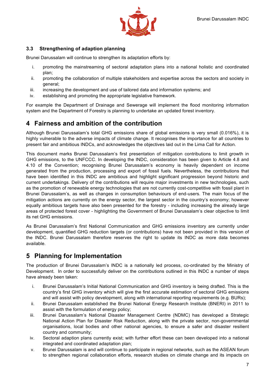

#### **3.3 Strengthening of adaption planning**

Brunei Darussalam will continue to strengthen its adaptation efforts by:

- i. promoting the mainstreaming of sectoral adaptation plans into a national holistic and coordinated plan;
- ii. promoting the collaboration of multiple stakeholders and expertise across the sectors and society in general;
- iii. increasing the development and use of tailored data and information systems; and
- iv. establishing and promoting the appropriate legislative framework.

For example the Department of Drainage and Sewerage will implement the flood monitoring information system and the Department of Forestry is planning to undertake an updated forest inventory.

### **4 Fairness and ambition of the contribution**

Although Brunei Darussalam's total GHG emissions share of global emissions is very small (0.016%), it is highly vulnerable to the adverse impacts of climate change. It recognises the importance for all countries to present fair and ambitious INDCs, and acknowledges the objectives laid out in the Lima Call for Action.

This document marks Brunei Darussalam's first presentation of mitigation contributions to limit growth in GHG emissions, to the UNFCCC. In developing the INDC, consideration has been given to Article 4.8 and 4.10 of the Convention; recognising Brunei Darussalam's economy is heavily dependent on income generated from the production, processing and export of fossil fuels. Nevertheless, the contributions that have been identified in this INDC are ambitious and highlight significant progression beyond historic and current undertakings. Delivery of the contributions will require major investments in new technologies, such as the promotion of renewable energy technologies that are not currently cost-competitive with fossil plant in Brunei Darussalam's, as well as changes in consumption behaviours of end-users. The main focus of the mitigation actions are currently on the energy sector, the largest sector in the country's economy; however equally ambitious targets have also been presented for the forestry - including increasing the already large areas of protected forest cover - highlighting the Government of Brunei Darussalam's clear objective to limit its net GHG emissions.

As Brunei Darussalam's first National Communication and GHG emissions inventory are currently under development, quantified GHG reduction targets (or contributions) have not been provided in this version of the INDC. Brunei Darussalam therefore reserves the right to update its INDC as more data becomes available.

### **5 Planning for Implementation**

The production of Brunei Darussalam's INDC is a nationally led process, co-ordinated by the Ministry of Development. In order to successfully deliver on the contributions outlined in this INDC a number of steps have already been taken:

- i. Brunei Darussalam's Initial National Communication and GHG inventory is being drafted. This is the country's first GHG inventory which will give the first accurate estimation of sectoral GHG emissions and will assist with policy development, along with international reporting requirements (e.g. BURs);
- ii. Brunei Darussalam established the Brunei National Energy Research Institute (BNERI) in 2011 to assist with the formulation of energy policy;
- iii. Brunei Darussalam's National Disaster Management Centre (NDMC) has developed a Strategic National Action Plan for Disaster Risk Reduction, along with the private sector, non-governmental organisations, local bodies and other national agencies, to ensure a safer and disaster resilient country and community;
- iv. Sectoral adaption plans currently exist; with further effort these can been developed into a national integrated and coordinated adaptation plan;
- v. Brunei Darussalam is and will continue to participate in regional networks, such as the ASEAN forum to strengthen regional collaboration efforts, research studies on climate change and its impacts on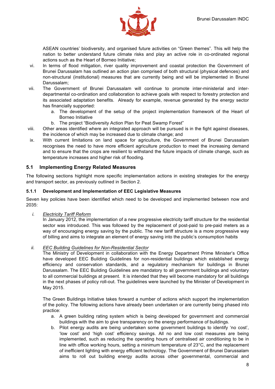

ASEAN countries' biodiversity, and organised future activities on "Green themes". This will help the nation to better understand future climate risks and play an active role in co-ordinated regional actions such as the Heart of Borneo Initiative;

- vi. In terms of flood mitigation, river quality improvement and coastal protection the Government of Brunei Darussalam has outlined an action plan comprised of both structural (physical defences) and non-structural (institutional) measures that are currently being and will be implemented in Brunei Darussalam;
- vii. The Government of Brunei Darussalam will continue to promote inter-ministerial and interdepartmental co-ordination and collaboration to achieve goals with respect to forestry protection and its associated adaptation benefits. Already for example, revenue generated by the energy sector has financially supported:
	- a. The development of the setup of the project implementation framework of the Heart of Borneo Initiative
	- b. The project "Biodiversity Action Plan for Peat Swamp Forest"
- viii. Other areas identified where an integrated approach will be pursued is in the fight against diseases, the incidence of which may be increased due to climate change; and
- ix. With current limitations on land space for agriculture, the Government of Brunei Darussalam recognises the need to have more efficient agriculture production to meet the increasing demand and to ensure that the crops are resilient to withstand the future impacts of climate change, such as temperature increases and higher risk of flooding.

#### **5.1 Implementing Energy Related Measures**

The following sections highlight more specific implementation actions in existing strategies for the energy and transport sector, as previously outlined in Section 2.

#### **5.1.1 Development and Implementation of EEC Legislative Measures**

Seven key policies have been identified which need to be developed and implemented between now and 2035:

*i. Electricity Tariff Reform*

In January 2012, the implementation of a new progressive electricity tariff structure for the residential sector was introduced. This was followed by the replacement of post-paid to pre-paid meters as a way of encouraging energy saving by the public. The new tariff structure is a more progressive way of billing and aims to integrate an element of energy saving into the public's consumption habits

*ii. EEC Building Guidelines for Non-Residential Sector*

The Ministry of Development in collaboration with the Energy Department Prime Minister's Office have developed EEC Building Guidelines for non-residential buildings which established energy efficiency and conservation standards, and a regulatory mechanism for buildings in Brunei Darussalam. The EEC Building Guidelines are mandatory to all government buildings and voluntary to all commercial buildings at present. It is intended that they will become mandatory for all buildings in the next phases of policy roll-out. The guidelines were launched by the Minister of Development in May 2015.

The Green Buildings Initiative takes forward a number of actions which support the implementation of the policy. The following actions have already been undertaken or are currently being phased into practice:

- a. A green building rating system which is being developed for government and commercial buildings with the aim to give transparency on the energy performance of buildings.
- b. Pilot energy audits are being undertaken some government buildings to identify 'no cost', 'low cost' and 'high cost' efficiency savings. All no and low cost measures are being implemented, such as reducing the operating hours of centralised air conditioning to be in line with office working hours, setting a minimum temperature of 23°C, and the replacement of inefficient lighting with energy efficient technology. The Government of Brunei Darussalam aims to roll out building energy audits across other governmental, commercial and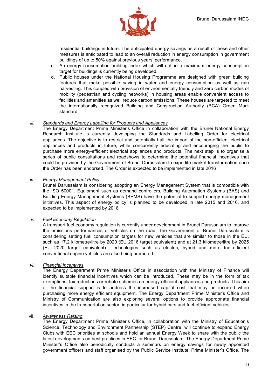

residential buildings in future. The anticipated energy savings as a result of these and other measures is anticipated to lead to an overall reduction in energy consumption in government buildings of up to 50% against previous years' performance.

- c. An energy consumption building index which will define a maximum energy consumption target for buildings is currently being developed.
- d. Public houses under the National Housing Programme are designed with green building features that make possible saving in water and energy consumption as well as rain harvesting. This coupled with provision of environmentally friendly and zero carbon modes of mobility (pedestrian and cycling networks) in housing areas enable convenient access to facilities and amenities as well reduce carbon emissions. These houses are targeted to meet the internationally recognized Building and Construction Authority (BCA) Green Mark standard.

#### *iii. Standards and Energy Labelling for Products and Appliances*

The Energy Department Prime Minister's Office in collaboration with the Brunei National Energy Research Institute is currently developing the Standards and Labelling Order for electrical appliances. The objective is to restrict and potentially halt the import of the non-efficient electrical appliances and products in future, while concurrently educating and encouraging the public to purchase more energy-efficient electrical appliances and products. The next step is to organise a series of public consultations and roadshows to determine the potential financial incentives that could be provided by the Government of Brunei Darussalam to expedite market transformation once the Order has been endorsed. The Order is expected to be implemented in late 2016

#### *iv. Energy Management Policy*

Brunei Darussalam is considering adopting an Energy Management System that is compatible with the ISO 50001. Equipment such as demand controllers, Building Automation Systems (BAS) and Building Energy Management Systems (BEMS) have the potential to support energy management initiatives. This aspect of energy policy is planned to be developed in late 2015 and 2016, and expected to be implemented by 2018

#### *v. Fuel Economy Regulation*

A transport fuel economy regulation is currently under development in Brunei Darussalam to improve the emissions performances of vehicles on the road. The Government of Brunei Darussalam is considering setting fuel consumption targets for new vehicles that are similar to those in the EU, such as 17.2 kilometre/litre by 2020 (EU 2016 target equivalent) and at 21.3 kilometre/litre by 2025 (EU 2020 target equivalent). Technologies such as electric, hybrid and more fuel-efficient conventional engine vehicles are also being promoted

#### *vi. Financial Incentives*

The Energy Department Prime Minister's Office in association with the Ministry of Finance will identify suitable financial incentives which can be introduced. These may be in the form of tax exemptions, tax reductions or rebate schemes on energy-efficient appliances and products. This aim of the financial support is to address the increased capital cost that may be incurred when purchasing more energy efficient equipment. The Energy Department Prime Minister's Office and Ministry of Communication are also exploring several options to provide appropriate financial incentives in the transportation sector, in particular for hybrid cars and fuel-efficient vehicles

#### vii. *Awareness Raising*

The Energy Department Prime Minister's Office, in collaboration with the Ministry of Education's Science, Technology and Environment Partnership (STEP) Centre, will continue to expand Energy Clubs with EEC priorities at schools and hold an annual Energy Week to share with the public the latest developments on best practices in EEC for Brunei Darussalam. The Energy Department Prime Minister's Office also periodically conducts a seminars on energy savings for newly appointed government officers and staff organised by the Public Service Institute, Prime Minister's Office. The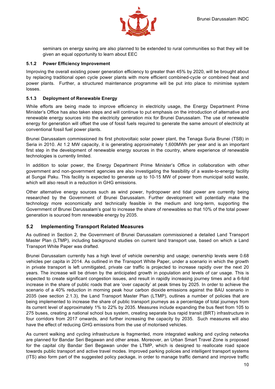

seminars on energy saving are also planned to be extended to rural communities so that they will be given an equal opportunity to learn about EEC

#### **5.1.2 Power Efficiency Improvement**

Improving the overall existing power generation efficiency to greater than 45% by 2020, will be brought about by replacing traditional open cycle power plants with more efficient combined-cycle or combined heat and power plants. Further, a structured maintenance programme will be put into place to minimise system losses.

#### **5.1.3 Deployment of Renewable Energy**

While efforts are being made to improve efficiency in electricity usage, the Energy Department Prime Minister's Office has also taken steps and will continue to put emphasis on the introduction of alternative and renewable energy sources into the electricity generation mix for Brunei Darussalam. The use of renewable energy for generation will offset the use of fossil fuels required to generate the same amount of electricity at conventional fossil fuel power plants.

Brunei Darussalam commissioned its first photovoltaic solar power plant, the Tenaga Suria Brunei (TSB) in Seria in 2010. At 1.2 MW capacity, it is generating approximately 1,600MWh per year and is an important first step in the development of renewable energy sources in the country, where experience of renewable technologies is currently limited.

In addition to solar power, the Energy Department Prime Minister's Office in collaboration with other government and non-government agencies are also investigating the feasibility of a waste-to-energy facility at Sungai Paku. This facility is expected to generate up to 10-15 MW of power from municipal solid waste, which will also result in a reduction in GHG emissions.

Other alternative energy sources such as wind power, hydropower and tidal power are currently being researched by the Government of Brunei Darussalam. Further development will potentially make the technology more economically and technically feasible in the medium and long-term, supporting the Government of Brunei Darussalam's goal to increase the share of renewables so that 10% of the total power generation is sourced from renewable energy by 2035.

#### **5.2 Implementing Transport Related Measures**

As outlined in Section 2, the Government of Brunei Darussalam commissioned a detailed Land Transport Master Plan (LTMP), including background studies on current land transport use, based on which a Land Transport White Paper was drafted.

Brunei Darussalam currently has a high level of vehicle ownership and usage; ownership levels were 0.68 vehicles per capita in 2014. As outlined in the Transport White Paper, under a scenario in which the growth in private transport is left unmitigated, private car traffic is projected to increase rapidly over the next 20 years. The increase will be driven by the anticipated growth in population and levels of car usage. This is expected to create significant congestion issues, and result in rapidly increasing journey times and a 6-fold increase in the share of public roads that are 'over capacity' at peak times by 2025. In order to achieve the scenario of a 40% reduction in morning peak hour carbon dioxide emissions against the BAU scenario in 2035 (see section 2.1.3), the Land Transport Master Plan (LTMP), outlines a number of policies that are being implemented to increase the share of public transport journeys as a percentage of total journeys from its current level of approximately 1% to 22% by 2035. Measures include expanding the bus fleet from 105 to 275 buses, creating a national school bus system, creating separate bus rapid transit (BRT) infrastructure in four corridors from 2017 onwards, and further increasing the capacity by 2035. Such measures will also have the effect of reducing GHG emissions from the use of motorised vehicles.

As current walking and cycling infrastructure is fragmented, more integrated walking and cycling networks are planned for Bandar Seri Begawan and other areas. Moreover, an Urban Smart Travel Zone is proposed for the capital city Bandar Seri Begawan under the LTMP, which is designed to reallocate road space towards public transport and active travel modes. Improved parking policies and intelligent transport systems (ITS) also form part of the suggested policy package, in order to manage traffic demand and improve traffic